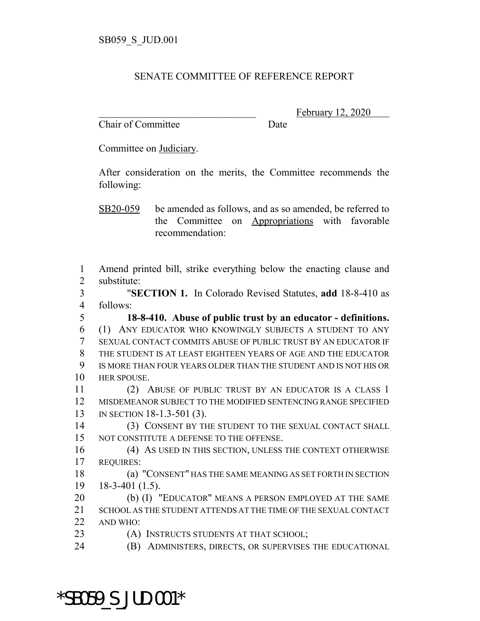## SENATE COMMITTEE OF REFERENCE REPORT

Chair of Committee Date

February 12, 2020

Committee on Judiciary.

After consideration on the merits, the Committee recommends the following:

SB20-059 be amended as follows, and as so amended, be referred to the Committee on Appropriations with favorable recommendation:

 Amend printed bill, strike everything below the enacting clause and substitute:

 "**SECTION 1.** In Colorado Revised Statutes, **add** 18-8-410 as follows:

 **18-8-410. Abuse of public trust by an educator - definitions.** (1) ANY EDUCATOR WHO KNOWINGLY SUBJECTS A STUDENT TO ANY SEXUAL CONTACT COMMITS ABUSE OF PUBLIC TRUST BY AN EDUCATOR IF THE STUDENT IS AT LEAST EIGHTEEN YEARS OF AGE AND THE EDUCATOR IS MORE THAN FOUR YEARS OLDER THAN THE STUDENT AND IS NOT HIS OR HER SPOUSE.

 (2) ABUSE OF PUBLIC TRUST BY AN EDUCATOR IS A CLASS 1 MISDEMEANOR SUBJECT TO THE MODIFIED SENTENCING RANGE SPECIFIED IN SECTION 18-1.3-501 (3).

 (3) CONSENT BY THE STUDENT TO THE SEXUAL CONTACT SHALL NOT CONSTITUTE A DEFENSE TO THE OFFENSE.

 (4) AS USED IN THIS SECTION, UNLESS THE CONTEXT OTHERWISE REQUIRES:

 (a) "CONSENT" HAS THE SAME MEANING AS SET FORTH IN SECTION 18-3-401 (1.5).

 (b) (I) "EDUCATOR" MEANS A PERSON EMPLOYED AT THE SAME SCHOOL AS THE STUDENT ATTENDS AT THE TIME OF THE SEXUAL CONTACT AND WHO:

**(A) INSTRUCTS STUDENTS AT THAT SCHOOL;** 

\*SB059\_S\_JUD.001\*

(B) ADMINISTERS, DIRECTS, OR SUPERVISES THE EDUCATIONAL